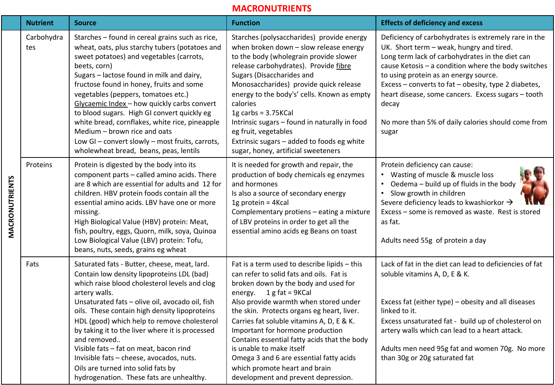## **MACRONUTRIENTS**

|                | <b>Nutrient</b>   | <b>Source</b>                                                                                                                                                                                                                                                                                                                                                                                                                                                                                                                                                              | <b>Function</b>                                                                                                                                                                                                                                                                                                                                                                                                                                                                                                                       | <b>Effects of deficiency and excess</b>                                                                                                                                                                                                                                                                                                                                                                                                   |
|----------------|-------------------|----------------------------------------------------------------------------------------------------------------------------------------------------------------------------------------------------------------------------------------------------------------------------------------------------------------------------------------------------------------------------------------------------------------------------------------------------------------------------------------------------------------------------------------------------------------------------|---------------------------------------------------------------------------------------------------------------------------------------------------------------------------------------------------------------------------------------------------------------------------------------------------------------------------------------------------------------------------------------------------------------------------------------------------------------------------------------------------------------------------------------|-------------------------------------------------------------------------------------------------------------------------------------------------------------------------------------------------------------------------------------------------------------------------------------------------------------------------------------------------------------------------------------------------------------------------------------------|
| MACRONUTRIENTS | Carbohydra<br>tes | Starches - found in cereal grains such as rice,<br>wheat, oats, plus starchy tubers (potatoes and<br>sweet potatoes) and vegetables (carrots,<br>beets, corn)<br>Sugars - lactose found in milk and dairy,<br>fructose found in honey, fruits and some<br>vegetables (peppers, tomatoes etc.)<br>Glycaemic Index - how quickly carbs convert<br>to blood sugars. High GI convert quickly eg<br>white bread, cornflakes, white rice, pineapple<br>Medium - brown rice and oats<br>Low GI - convert slowly - most fruits, carrots,<br>wholewheat bread, beans, peas, lentils | Starches (polysaccharides) provide energy<br>when broken down - slow release energy<br>to the body (wholegrain provide slower<br>release carbohydrates). Provide fibre<br>Sugars (Disaccharides and<br>Monosaccharides) provide quick release<br>energy to the body's' cells. Known as empty<br>calories<br>$1g$ carbs = 3.75KCal<br>Intrinsic sugars - found in naturally in food<br>eg fruit, vegetables<br>Extrinsic sugars - added to foods eg white<br>sugar, honey, artificial sweeteners                                       | Deficiency of carbohydrates is extremely rare in the<br>UK. Short term - weak, hungry and tired.<br>Long term lack of carbohydrates in the diet can<br>cause Ketosis - a condition where the body switches<br>to using protein as an energy source.<br>Excess - converts to fat - obesity, type 2 diabetes,<br>heart disease, some cancers. Excess sugars - tooth<br>decay<br>No more than 5% of daily calories should come from<br>sugar |
|                | Proteins          | Protein is digested by the body into its<br>component parts - called amino acids. There<br>are 8 which are essential for adults and 12 for<br>children. HBV protein foods contain all the<br>essential amino acids. LBV have one or more<br>missing.<br>High Biological Value (HBV) protein: Meat,<br>fish, poultry, eggs, Quorn, milk, soya, Quinoa<br>Low Biological Value (LBV) protein: Tofu,<br>beans, nuts, seeds, grains eg wheat                                                                                                                                   | It is needed for growth and repair, the<br>production of body chemicals eg enzymes<br>and hormones<br>Is also a source of secondary energy<br>1g protein = 4Kcal<br>Complementary protiens - eating a mixture<br>of LBV proteins in order to get all the<br>essential amino acids eg Beans on toast                                                                                                                                                                                                                                   | Protein deficiency can cause:<br>Wasting of muscle & muscle loss<br>Oedema - build up of fluids in the body<br>$\bullet$<br>Slow growth in children<br>$\bullet$<br>Severe deficiency leads to kwashiorkor $\rightarrow$<br>Excess - some is removed as waste. Rest is stored<br>as fat.<br>Adults need 55g of protein a day                                                                                                              |
|                | Fats              | Saturated fats - Butter, cheese, meat, lard.<br>Contain low density lipoproteins LDL (bad)<br>which raise blood cholesterol levels and clog<br>artery walls.<br>Unsaturated fats - olive oil, avocado oil, fish<br>oils. These contain high density lipoproteins<br>HDL (good) which help to remove cholesterol<br>by taking it to the liver where it is processed<br>and removed<br>Visible fats - fat on meat, bacon rind<br>Invisible fats - cheese, avocados, nuts.<br>Oils are turned into solid fats by<br>hydrogenation. These fats are unhealthy.                  | Fat is a term used to describe lipids - this<br>can refer to solid fats and oils. Fat is<br>broken down by the body and used for<br>energy. $1 g fat = 9 KCal$<br>Also provide warmth when stored under<br>the skin. Protects organs eg heart, liver.<br>Carries fat soluble vitamins A, D, E & K.<br>Important for hormone production<br>Contains essential fatty acids that the body<br>is unable to make itself<br>Omega 3 and 6 are essential fatty acids<br>which promote heart and brain<br>development and prevent depression. | Lack of fat in the diet can lead to deficiencies of fat<br>soluble vitamins A, D, E & K.<br>Excess fat (either type) - obesity and all diseases<br>linked to it.<br>Excess unsaturated fat - build up of cholesterol on<br>artery walls which can lead to a heart attack.<br>Adults men need 95g fat and women 70g. No more<br>than 30g or 20g saturated fat                                                                              |

Г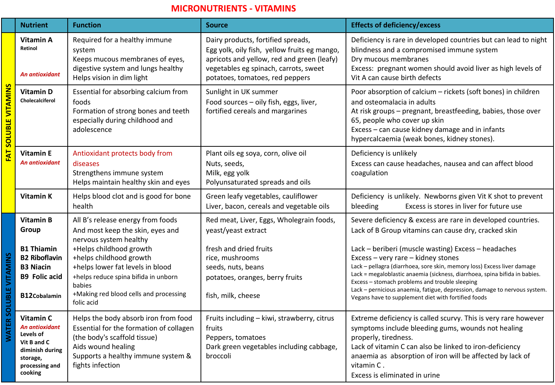## **MICRONUTRIENTS - VITAMINS**

|                               | <b>Nutrient</b>                                                                                                     | <b>Function</b>                                                                                                                                                                                  | <b>Source</b>                                                                                                                                                                                                | <b>Effects of deficiency/excess</b>                                                                                                                                                                                                                                                                                                                                                                                                      |
|-------------------------------|---------------------------------------------------------------------------------------------------------------------|--------------------------------------------------------------------------------------------------------------------------------------------------------------------------------------------------|--------------------------------------------------------------------------------------------------------------------------------------------------------------------------------------------------------------|------------------------------------------------------------------------------------------------------------------------------------------------------------------------------------------------------------------------------------------------------------------------------------------------------------------------------------------------------------------------------------------------------------------------------------------|
| <b>FAT SOLUBLE VITAMINS</b>   | Vitamin A<br><b>Retinol</b><br><b>An antioxidant</b>                                                                | Required for a healthy immune<br>system<br>Keeps mucous membranes of eyes,<br>digestive system and lungs healthy<br>Helps vision in dim light                                                    | Dairy products, fortified spreads,<br>Egg yolk, oily fish, yellow fruits eg mango,<br>apricots and yellow, red and green (leafy)<br>vegetables eg spinach, carrots, sweet<br>potatoes, tomatoes, red peppers | Deficiency is rare in developed countries but can lead to night<br>blindness and a compromised immune system<br>Dry mucous membranes<br>Excess: pregnant women should avoid liver as high levels of<br>Vit A can cause birth defects                                                                                                                                                                                                     |
|                               | <b>Vitamin D</b><br>Cholecalciferol                                                                                 | Essential for absorbing calcium from<br>foods<br>Formation of strong bones and teeth<br>especially during childhood and<br>adolescence                                                           | Sunlight in UK summer<br>Food sources - oily fish, eggs, liver,<br>fortified cereals and margarines                                                                                                          | Poor absorption of calcium - rickets (soft bones) in children<br>and osteomalacia in adults<br>At risk groups - pregnant, breastfeeding, babies, those over<br>65, people who cover up skin<br>Excess - can cause kidney damage and in infants<br>hypercalcaemia (weak bones, kidney stones).                                                                                                                                            |
|                               | <b>Vitamin E</b><br>An antioxidant                                                                                  | Antioxidant protects body from<br>diseases<br>Strengthens immune system<br>Helps maintain healthy skin and eyes                                                                                  | Plant oils eg soya, corn, olive oil<br>Nuts, seeds,<br>Milk, egg yolk<br>Polyunsaturated spreads and oils                                                                                                    | Deficiency is unlikely<br>Excess can cause headaches, nausea and can affect blood<br>coagulation                                                                                                                                                                                                                                                                                                                                         |
|                               | <b>Vitamin K</b>                                                                                                    | Helps blood clot and is good for bone<br>health                                                                                                                                                  | Green leafy vegetables, cauliflower<br>Liver, bacon, cereals and vegetable oils                                                                                                                              | Deficiency is unlikely. Newborns given Vit K shot to prevent<br>Excess is stores in liver for future use<br>bleeding                                                                                                                                                                                                                                                                                                                     |
| <b>WATER SOLUBLE VITAMINS</b> | Vitamin B<br>Group                                                                                                  | All B's release energy from foods<br>And most keep the skin, eyes and<br>nervous system healthy                                                                                                  | Red meat, Liver, Eggs, Wholegrain foods,<br>yeast/yeast extract                                                                                                                                              | Severe deficiency & excess are rare in developed countries.<br>Lack of B Group vitamins can cause dry, cracked skin                                                                                                                                                                                                                                                                                                                      |
|                               | <b>B1 Thiamin</b><br><b>B2 Riboflavin</b><br><b>B3 Niacin</b><br><b>B9 Folic acid</b><br><b>B12Cobalamin</b>        | +Helps childhood growth<br>+helps childhood growth<br>+helps lower fat levels in blood<br>+helps reduce spina bifida in unborn<br>babies<br>+Making red blood cells and processing<br>folic acid | fresh and dried fruits<br>rice, mushrooms<br>seeds, nuts, beans<br>potatoes, oranges, berry fruits<br>fish, milk, cheese                                                                                     | Lack - beriberi (muscle wasting) Excess - headaches<br>Excess - very rare - kidney stones<br>Lack - pellagra (diarrhoea, sore skin, memory loss) Excess liver damage<br>Lack = megaloblastic anaemia (sickness, diarrhoea, spina bifida in babies.<br>Excess - stomach problems and trouble sleeping<br>Lack - pernicious anaemia, fatigue, depression, damage to nervous system.<br>Vegans have to supplement diet with fortified foods |
|                               | Vitamin C<br>An antioxidant<br>Levels of<br>Vit B and C<br>diminish during<br>storage,<br>processing and<br>cooking | Helps the body absorb iron from food<br>Essential for the formation of collagen<br>(the body's scaffold tissue)<br>Aids wound healing<br>Supports a healthy immune system &<br>fights infection  | Fruits including - kiwi, strawberry, citrus<br>fruits<br>Peppers, tomatoes<br>Dark green vegetables including cabbage,<br>broccoli                                                                           | Extreme deficiency is called scurvy. This is very rare however<br>symptoms include bleeding gums, wounds not healing<br>properly, tiredness.<br>Lack of vitamin C can also be linked to iron-deficiency<br>anaemia as absorption of iron will be affected by lack of<br>vitamin C.<br>Excess is eliminated in urine                                                                                                                      |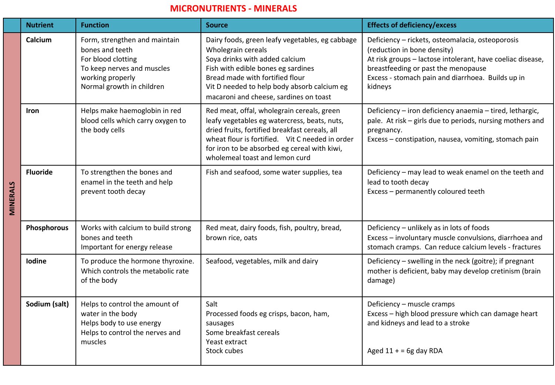## **MICRONUTRIENTS - MINERALS**

|           | <b>Nutrient</b> | <b>Function</b>                                                                                                                                       | <b>Source</b>                                                                                                                                                                                                                                                                     | <b>Effects of deficiency/excess</b>                                                                                                                                                                                                                  |
|-----------|-----------------|-------------------------------------------------------------------------------------------------------------------------------------------------------|-----------------------------------------------------------------------------------------------------------------------------------------------------------------------------------------------------------------------------------------------------------------------------------|------------------------------------------------------------------------------------------------------------------------------------------------------------------------------------------------------------------------------------------------------|
|           | Calcium         | Form, strengthen and maintain<br>bones and teeth<br>For blood clotting<br>To keep nerves and muscles<br>working properly<br>Normal growth in children | Dairy foods, green leafy vegetables, eg cabbage<br>Wholegrain cereals<br>Soya drinks with added calcium<br>Fish with edible bones eg sardines<br>Bread made with fortified flour<br>Vit D needed to help body absorb calcium eg<br>macaroni and cheese, sardines on toast         | Deficiency - rickets, osteomalacia, osteoporosis<br>(reduction in bone density)<br>At risk groups - lactose intolerant, have coeliac disease,<br>breastfeeding or past the menopause<br>Excess - stomach pain and diarrhoea. Builds up in<br>kidneys |
|           | <b>Iron</b>     | Helps make haemoglobin in red<br>blood cells which carry oxygen to<br>the body cells                                                                  | Red meat, offal, wholegrain cereals, green<br>leafy vegetables eg watercress, beats, nuts,<br>dried fruits, fortified breakfast cereals, all<br>wheat flour is fortified. Vit C needed in order<br>for iron to be absorbed eg cereal with kiwi,<br>wholemeal toast and lemon curd | Deficiency - iron deficiency anaemia - tired, lethargic,<br>pale. At risk - girls due to periods, nursing mothers and<br>pregnancy.<br>Excess - constipation, nausea, vomiting, stomach pain                                                         |
| VIINERALS | <b>Fluoride</b> | To strengthen the bones and<br>enamel in the teeth and help<br>prevent tooth decay                                                                    | Fish and seafood, some water supplies, tea                                                                                                                                                                                                                                        | Deficiency - may lead to weak enamel on the teeth and<br>lead to tooth decay<br>Excess - permanently coloured teeth                                                                                                                                  |
|           | Phosphorous     | Works with calcium to build strong<br>bones and teeth<br>Important for energy release                                                                 | Red meat, dairy foods, fish, poultry, bread,<br>brown rice, oats                                                                                                                                                                                                                  | Deficiency - unlikely as in lots of foods<br>Excess - involuntary muscle convulsions, diarrhoea and<br>stomach cramps. Can reduce calcium levels - fractures                                                                                         |
|           | lodine          | To produce the hormone thyroxine.<br>Which controls the metabolic rate<br>of the body                                                                 | Seafood, vegetables, milk and dairy                                                                                                                                                                                                                                               | Deficiency - swelling in the neck (goitre); if pregnant<br>mother is deficient, baby may develop cretinism (brain<br>damage)                                                                                                                         |
|           | Sodium (salt)   | Helps to control the amount of<br>water in the body<br>Helps body to use energy<br>Helps to control the nerves and<br>muscles                         | Salt<br>Processed foods eg crisps, bacon, ham,<br>sausages<br>Some breakfast cereals<br>Yeast extract<br>Stock cubes                                                                                                                                                              | Deficiency - muscle cramps<br>Excess - high blood pressure which can damage heart<br>and kidneys and lead to a stroke<br>Aged $11 + 5$ g day RDA                                                                                                     |